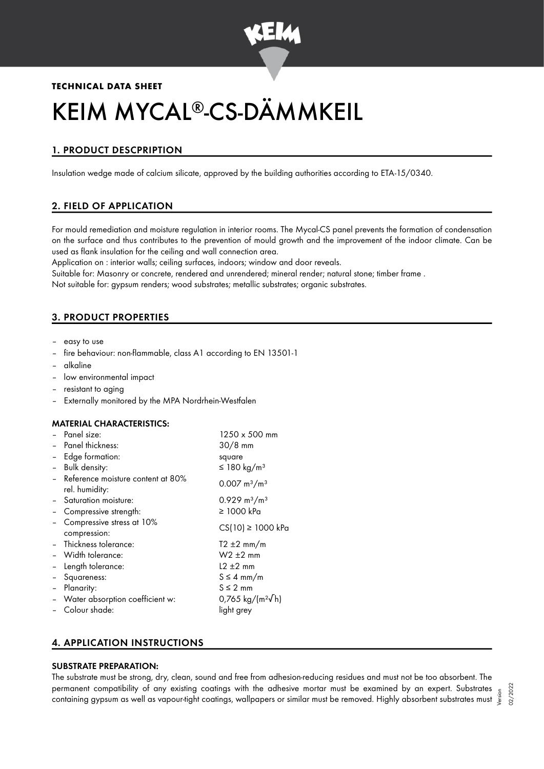

# **TECHNICAL DATA SHEET**

# KEIM MYCAL®-CS-DÄMMKEIL

# 1. PRODUCT DESCPRIPTION

Insulation wedge made of calcium silicate, approved by the building authorities according to ETA-15/0340.

# 2. FIELD OF APPLICATION

For mould remediation and moisture regulation in interior rooms. The Mycal-CS panel prevents the formation of condensation on the surface and thus contributes to the prevention of mould growth and the improvement of the indoor climate. Can be used as flank insulation for the ceiling and wall connection area.

Application on : interior walls; ceiling surfaces, indoors; window and door reveals.

Suitable for: Masonry or concrete, rendered and unrendered; mineral render; natural stone; timber frame . Not suitable for: gypsum renders; wood substrates; metallic substrates; organic substrates.

# 3. PRODUCT PROPERTIES

- easy to use
- fire behaviour: non-flammable, class A1 according to EN 13501-1
- alkaline
- low environmental impact
- resistant to aging
- Externally monitored by the MPA Nordrhein-Westfalen

#### MATERIAL CHARACTERISTICS:

|                              | - Panel size:                                         | 1250 x 500 mm                  |
|------------------------------|-------------------------------------------------------|--------------------------------|
|                              | Panel thickness:                                      | $30/8$ mm                      |
| $\qquad \qquad \blacksquare$ | Edge formation:                                       | square                         |
| $\overline{\phantom{0}}$     | Bulk density:                                         | ≤ 180 kg/m <sup>3</sup>        |
|                              | - Reference moisture content at 80%<br>rel. humidity: | $0.007 \text{ m}^3/\text{m}^3$ |
|                              | - Saturation moisture:                                | $0.929 \text{ m}^3/\text{m}^3$ |
|                              | Compressive strength:                                 | $\geq$ 1000 kPa                |
|                              | Compressive stress at 10%<br>compression:             | $CS(10) \ge 1000$ kPa          |
|                              | - Thickness tolerance:                                | $T2 \pm 2$ mm/m                |
|                              | - Width tolerance:                                    | $W2 \pm 2$ mm                  |
| $\blacksquare$               | Length tolerance:                                     | $12 \pm 2$ mm                  |
|                              | Squareness:                                           | $S \leq 4$ mm/m                |
|                              | Planarity:                                            | $S \leq 2$ mm                  |
|                              | - Water absorption coefficient w:                     | 0,765 kg/( $m^2$ /h)           |
|                              | Colour shade:                                         | light grey                     |
|                              |                                                       |                                |

## 4. APPLICATION INSTRUCTIONS

#### SUBSTRATE PREPARATION:

The substrate must be strong, dry, clean, sound and free from adhesion-reducing residues and must not be too absorbent. The permanent compatibility of any existing coatings with the adhesive mortar must be examined by an expert. Substrates permanent compatibility of any existing coatings with the aanesive mortar must be examined by an expert. Substrates  $\frac{5}{5}$ <br>containing gypsum as well as vapour-tight coatings, wallpapers or similar must be removed. Highl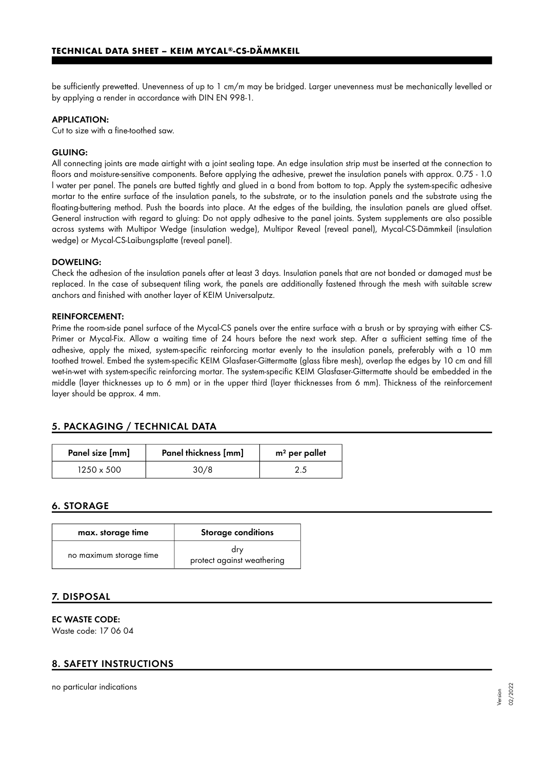be sufficiently prewetted. Unevenness of up to 1 cm/m may be bridged. Larger unevenness must be mechanically levelled or by applying a render in accordance with DIN EN 998-1.

#### APPLICATION:

Cut to size with a fine-toothed saw.

#### GLUING:

All connecting joints are made airtight with a joint sealing tape. An edge insulation strip must be inserted at the connection to floors and moisture-sensitive components. Before applying the adhesive, prewet the insulation panels with approx. 0.75 - 1.0 l water per panel. The panels are butted tightly and glued in a bond from bottom to top. Apply the system-specific adhesive mortar to the entire surface of the insulation panels, to the substrate, or to the insulation panels and the substrate using the floating-buttering method. Push the boards into place. At the edges of the building, the insulation panels are glued offset. General instruction with regard to gluing: Do not apply adhesive to the panel joints. System supplements are also possible across systems with Multipor Wedge (insulation wedge), Multipor Reveal (reveal panel), Mycal-CS-Dämmkeil (insulation wedge) or Mycal-CS-Laibungsplatte (reveal panel).

#### DOWELING:

Check the adhesion of the insulation panels after at least 3 days. Insulation panels that are not bonded or damaged must be replaced. In the case of subsequent tiling work, the panels are additionally fastened through the mesh with suitable screw anchors and finished with another layer of KEIM Universalputz.

#### REINFORCEMENT:

Prime the room-side panel surface of the Mycal-CS panels over the entire surface with a brush or by spraying with either CS-Primer or Mycal-Fix. Allow a waiting time of 24 hours before the next work step. After a sufficient setting time of the adhesive, apply the mixed, system-specific reinforcing mortar evenly to the insulation panels, preferably with a 10 mm toothed trowel. Embed the system-specific KEIM Glasfaser-Gittermatte (glass fibre mesh), overlap the edges by 10 cm and fill wet-in-wet with system-specific reinforcing mortar. The system-specific KEIM Glasfaser-Gittermatte should be embedded in the middle (layer thicknesses up to 6 mm) or in the upper third (layer thicknesses from 6 mm). Thickness of the reinforcement layer should be approx. 4 mm.

## 5. PACKAGING / TECHNICAL DATA

| Panel size [mm] | Panel thickness [mm] | $m2$ per pallet |
|-----------------|----------------------|-----------------|
| 1250 x 500      | 30/8                 |                 |

## 6. STORAGE

| max. storage time       | <b>Storage conditions</b>         |
|-------------------------|-----------------------------------|
| no maximum storage time | dry<br>protect against weathering |

## 7. DISPOSAL

EC WASTE CODE:

Waste code: 17 06 04

## 8. SAFETY INSTRUCTIONS

no particular indications